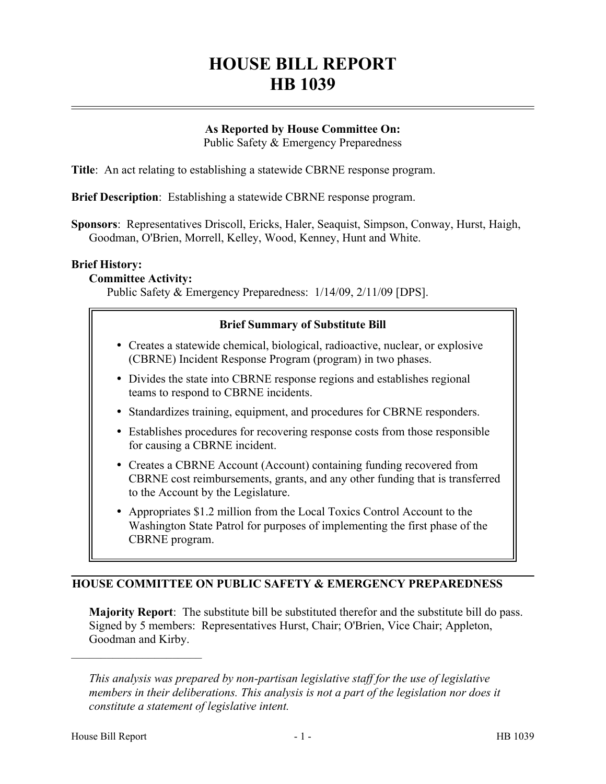# **HOUSE BILL REPORT HB 1039**

## **As Reported by House Committee On:**

Public Safety & Emergency Preparedness

**Title**: An act relating to establishing a statewide CBRNE response program.

**Brief Description**: Establishing a statewide CBRNE response program.

**Sponsors**: Representatives Driscoll, Ericks, Haler, Seaquist, Simpson, Conway, Hurst, Haigh, Goodman, O'Brien, Morrell, Kelley, Wood, Kenney, Hunt and White.

#### **Brief History:**

#### **Committee Activity:**

Public Safety & Emergency Preparedness: 1/14/09, 2/11/09 [DPS].

#### **Brief Summary of Substitute Bill**

- � Creates a statewide chemical, biological, radioactive, nuclear, or explosive (CBRNE) Incident Response Program (program) in two phases.
- � Divides the state into CBRNE response regions and establishes regional teams to respond to CBRNE incidents.
- � Standardizes training, equipment, and procedures for CBRNE responders.
- � Establishes procedures for recovering response costs from those responsible for causing a CBRNE incident.
- Creates a CBRNE Account (Account) containing funding recovered from CBRNE cost reimbursements, grants, and any other funding that is transferred to the Account by the Legislature.
- Appropriates \$1.2 million from the Local Toxics Control Account to the Washington State Patrol for purposes of implementing the first phase of the CBRNE program.

## **HOUSE COMMITTEE ON PUBLIC SAFETY & EMERGENCY PREPAREDNESS**

**Majority Report**: The substitute bill be substituted therefor and the substitute bill do pass. Signed by 5 members: Representatives Hurst, Chair; O'Brien, Vice Chair; Appleton, Goodman and Kirby.

––––––––––––––––––––––

*This analysis was prepared by non-partisan legislative staff for the use of legislative members in their deliberations. This analysis is not a part of the legislation nor does it constitute a statement of legislative intent.*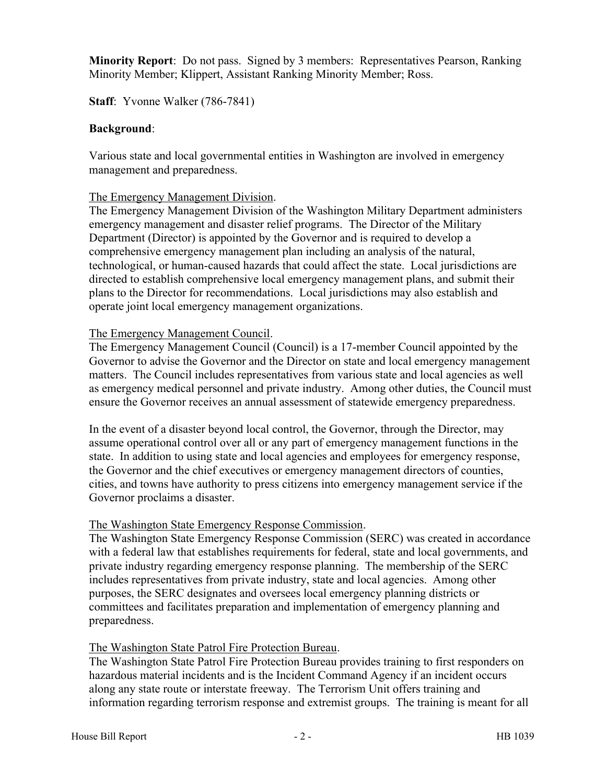**Minority Report**: Do not pass. Signed by 3 members: Representatives Pearson, Ranking Minority Member; Klippert, Assistant Ranking Minority Member; Ross.

**Staff**: Yvonne Walker (786-7841)

#### **Background**:

Various state and local governmental entities in Washington are involved in emergency management and preparedness.

#### The Emergency Management Division.

The Emergency Management Division of the Washington Military Department administers emergency management and disaster relief programs. The Director of the Military Department (Director) is appointed by the Governor and is required to develop a comprehensive emergency management plan including an analysis of the natural, technological, or human-caused hazards that could affect the state. Local jurisdictions are directed to establish comprehensive local emergency management plans, and submit their plans to the Director for recommendations. Local jurisdictions may also establish and operate joint local emergency management organizations.

#### The Emergency Management Council.

The Emergency Management Council (Council) is a 17-member Council appointed by the Governor to advise the Governor and the Director on state and local emergency management matters. The Council includes representatives from various state and local agencies as well as emergency medical personnel and private industry. Among other duties, the Council must ensure the Governor receives an annual assessment of statewide emergency preparedness.

In the event of a disaster beyond local control, the Governor, through the Director, may assume operational control over all or any part of emergency management functions in the state. In addition to using state and local agencies and employees for emergency response, the Governor and the chief executives or emergency management directors of counties, cities, and towns have authority to press citizens into emergency management service if the Governor proclaims a disaster.

## The Washington State Emergency Response Commission.

The Washington State Emergency Response Commission (SERC) was created in accordance with a federal law that establishes requirements for federal, state and local governments, and private industry regarding emergency response planning. The membership of the SERC includes representatives from private industry, state and local agencies. Among other purposes, the SERC designates and oversees local emergency planning districts or committees and facilitates preparation and implementation of emergency planning and preparedness.

## The Washington State Patrol Fire Protection Bureau.

The Washington State Patrol Fire Protection Bureau provides training to first responders on hazardous material incidents and is the Incident Command Agency if an incident occurs along any state route or interstate freeway. The Terrorism Unit offers training and information regarding terrorism response and extremist groups. The training is meant for all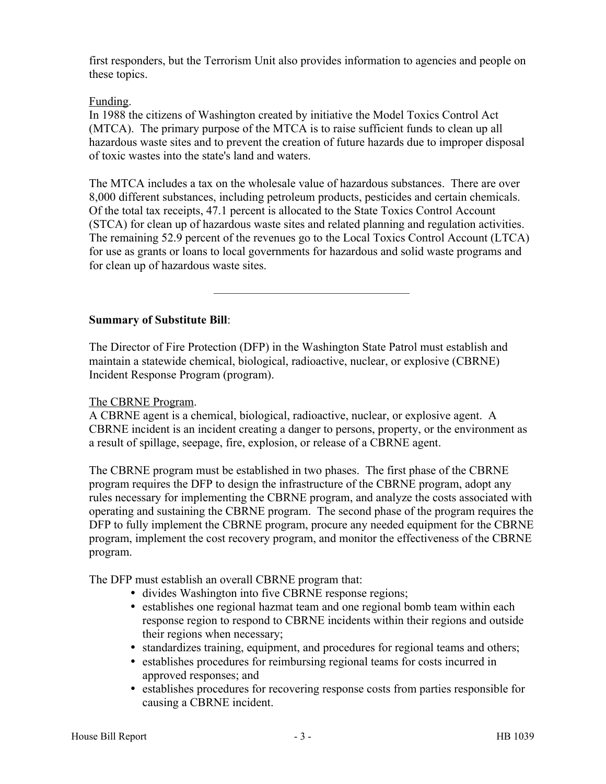first responders, but the Terrorism Unit also provides information to agencies and people on these topics.

## Funding.

In 1988 the citizens of Washington created by initiative the Model Toxics Control Act (MTCA). The primary purpose of the MTCA is to raise sufficient funds to clean up all hazardous waste sites and to prevent the creation of future hazards due to improper disposal of toxic wastes into the state's land and waters.

The MTCA includes a tax on the wholesale value of hazardous substances. There are over 8,000 different substances, including petroleum products, pesticides and certain chemicals. Of the total tax receipts, 47.1 percent is allocated to the State Toxics Control Account (STCA) for clean up of hazardous waste sites and related planning and regulation activities. The remaining 52.9 percent of the revenues go to the Local Toxics Control Account (LTCA) for use as grants or loans to local governments for hazardous and solid waste programs and for clean up of hazardous waste sites.

–––––––––––––––––––––––––––––––––

# **Summary of Substitute Bill**:

The Director of Fire Protection (DFP) in the Washington State Patrol must establish and maintain a statewide chemical, biological, radioactive, nuclear, or explosive (CBRNE) Incident Response Program (program).

## The CBRNE Program.

A CBRNE agent is a chemical, biological, radioactive, nuclear, or explosive agent. A CBRNE incident is an incident creating a danger to persons, property, or the environment as a result of spillage, seepage, fire, explosion, or release of a CBRNE agent.

The CBRNE program must be established in two phases. The first phase of the CBRNE program requires the DFP to design the infrastructure of the CBRNE program, adopt any rules necessary for implementing the CBRNE program, and analyze the costs associated with operating and sustaining the CBRNE program. The second phase of the program requires the DFP to fully implement the CBRNE program, procure any needed equipment for the CBRNE program, implement the cost recovery program, and monitor the effectiveness of the CBRNE program.

The DFP must establish an overall CBRNE program that:

- � divides Washington into five CBRNE response regions;
- � establishes one regional hazmat team and one regional bomb team within each response region to respond to CBRNE incidents within their regions and outside their regions when necessary;
- � standardizes training, equipment, and procedures for regional teams and others;
- � establishes procedures for reimbursing regional teams for costs incurred in approved responses; and
- � establishes procedures for recovering response costs from parties responsible for causing a CBRNE incident.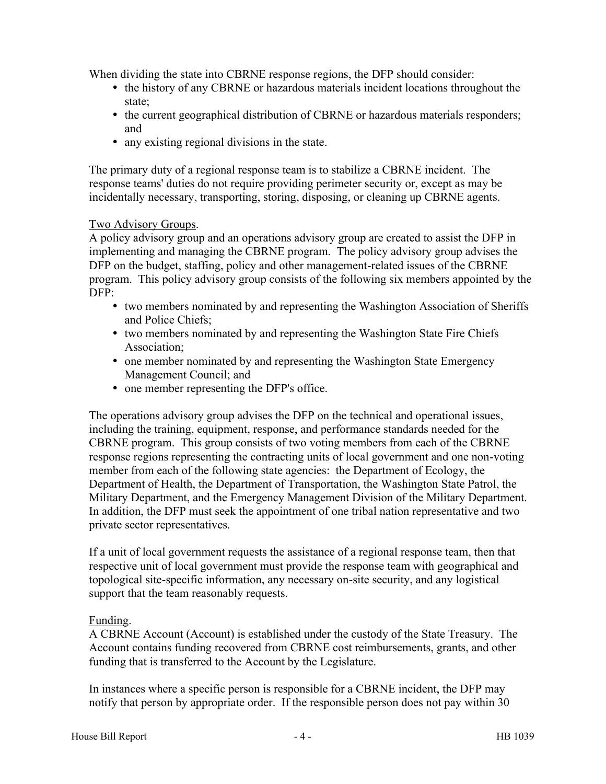When dividing the state into CBRNE response regions, the DFP should consider:

- � the history of any CBRNE or hazardous materials incident locations throughout the state;
- � the current geographical distribution of CBRNE or hazardous materials responders; and
- any existing regional divisions in the state.

The primary duty of a regional response team is to stabilize a CBRNE incident. The response teams' duties do not require providing perimeter security or, except as may be incidentally necessary, transporting, storing, disposing, or cleaning up CBRNE agents.

## Two Advisory Groups.

A policy advisory group and an operations advisory group are created to assist the DFP in implementing and managing the CBRNE program. The policy advisory group advises the DFP on the budget, staffing, policy and other management-related issues of the CBRNE program. This policy advisory group consists of the following six members appointed by the DFP:

- � two members nominated by and representing the Washington Association of Sheriffs and Police Chiefs;
- � two members nominated by and representing the Washington State Fire Chiefs Association;
- one member nominated by and representing the Washington State Emergency Management Council; and
- one member representing the DFP's office.

The operations advisory group advises the DFP on the technical and operational issues, including the training, equipment, response, and performance standards needed for the CBRNE program. This group consists of two voting members from each of the CBRNE response regions representing the contracting units of local government and one non-voting member from each of the following state agencies: the Department of Ecology, the Department of Health, the Department of Transportation, the Washington State Patrol, the Military Department, and the Emergency Management Division of the Military Department. In addition, the DFP must seek the appointment of one tribal nation representative and two private sector representatives.

If a unit of local government requests the assistance of a regional response team, then that respective unit of local government must provide the response team with geographical and topological site-specific information, any necessary on-site security, and any logistical support that the team reasonably requests.

## Funding.

A CBRNE Account (Account) is established under the custody of the State Treasury. The Account contains funding recovered from CBRNE cost reimbursements, grants, and other funding that is transferred to the Account by the Legislature.

In instances where a specific person is responsible for a CBRNE incident, the DFP may notify that person by appropriate order. If the responsible person does not pay within 30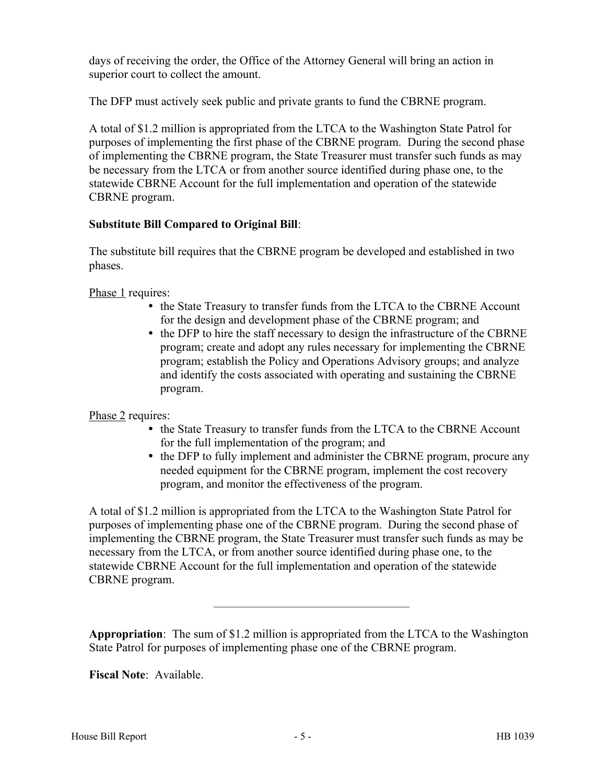days of receiving the order, the Office of the Attorney General will bring an action in superior court to collect the amount.

The DFP must actively seek public and private grants to fund the CBRNE program.

A total of \$1.2 million is appropriated from the LTCA to the Washington State Patrol for purposes of implementing the first phase of the CBRNE program. During the second phase of implementing the CBRNE program, the State Treasurer must transfer such funds as may be necessary from the LTCA or from another source identified during phase one, to the statewide CBRNE Account for the full implementation and operation of the statewide CBRNE program.

# **Substitute Bill Compared to Original Bill**:

The substitute bill requires that the CBRNE program be developed and established in two phases.

Phase 1 requires:

- � the State Treasury to transfer funds from the LTCA to the CBRNE Account for the design and development phase of the CBRNE program; and
- the DFP to hire the staff necessary to design the infrastructure of the CBRNE program; create and adopt any rules necessary for implementing the CBRNE program; establish the Policy and Operations Advisory groups; and analyze and identify the costs associated with operating and sustaining the CBRNE program.

# Phase 2 requires:

- � the State Treasury to transfer funds from the LTCA to the CBRNE Account for the full implementation of the program; and
- the DFP to fully implement and administer the CBRNE program, procure any needed equipment for the CBRNE program, implement the cost recovery program, and monitor the effectiveness of the program.

A total of \$1.2 million is appropriated from the LTCA to the Washington State Patrol for purposes of implementing phase one of the CBRNE program. During the second phase of implementing the CBRNE program, the State Treasurer must transfer such funds as may be necessary from the LTCA, or from another source identified during phase one, to the statewide CBRNE Account for the full implementation and operation of the statewide CBRNE program.

**Appropriation**: The sum of \$1.2 million is appropriated from the LTCA to the Washington State Patrol for purposes of implementing phase one of the CBRNE program.

–––––––––––––––––––––––––––––––––

**Fiscal Note**: Available.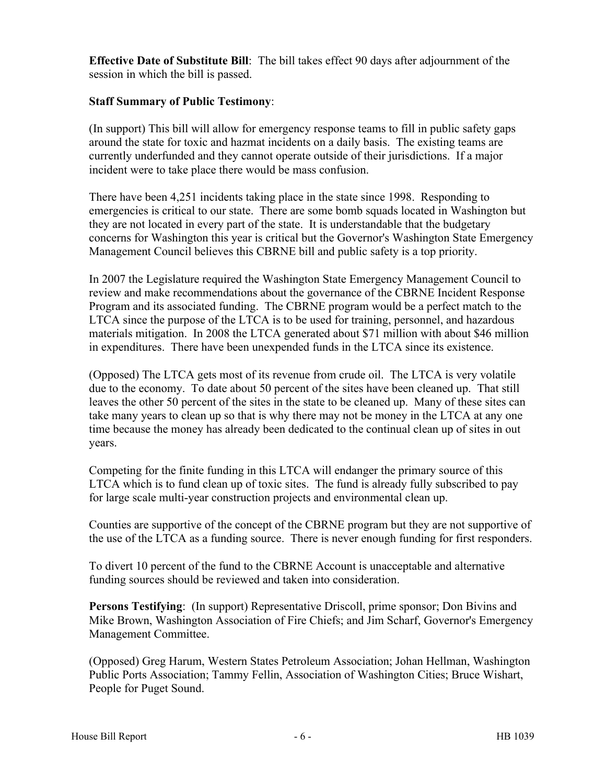**Effective Date of Substitute Bill**: The bill takes effect 90 days after adjournment of the session in which the bill is passed.

#### **Staff Summary of Public Testimony**:

(In support) This bill will allow for emergency response teams to fill in public safety gaps around the state for toxic and hazmat incidents on a daily basis. The existing teams are currently underfunded and they cannot operate outside of their jurisdictions. If a major incident were to take place there would be mass confusion.

There have been 4,251 incidents taking place in the state since 1998. Responding to emergencies is critical to our state. There are some bomb squads located in Washington but they are not located in every part of the state. It is understandable that the budgetary concerns for Washington this year is critical but the Governor's Washington State Emergency Management Council believes this CBRNE bill and public safety is a top priority.

In 2007 the Legislature required the Washington State Emergency Management Council to review and make recommendations about the governance of the CBRNE Incident Response Program and its associated funding. The CBRNE program would be a perfect match to the LTCA since the purpose of the LTCA is to be used for training, personnel, and hazardous materials mitigation. In 2008 the LTCA generated about \$71 million with about \$46 million in expenditures. There have been unexpended funds in the LTCA since its existence.

(Opposed) The LTCA gets most of its revenue from crude oil. The LTCA is very volatile due to the economy. To date about 50 percent of the sites have been cleaned up. That still leaves the other 50 percent of the sites in the state to be cleaned up. Many of these sites can take many years to clean up so that is why there may not be money in the LTCA at any one time because the money has already been dedicated to the continual clean up of sites in out years.

Competing for the finite funding in this LTCA will endanger the primary source of this LTCA which is to fund clean up of toxic sites. The fund is already fully subscribed to pay for large scale multi-year construction projects and environmental clean up.

Counties are supportive of the concept of the CBRNE program but they are not supportive of the use of the LTCA as a funding source. There is never enough funding for first responders.

To divert 10 percent of the fund to the CBRNE Account is unacceptable and alternative funding sources should be reviewed and taken into consideration.

**Persons Testifying**: (In support) Representative Driscoll, prime sponsor; Don Bivins and Mike Brown, Washington Association of Fire Chiefs; and Jim Scharf, Governor's Emergency Management Committee.

(Opposed) Greg Harum, Western States Petroleum Association; Johan Hellman, Washington Public Ports Association; Tammy Fellin, Association of Washington Cities; Bruce Wishart, People for Puget Sound.